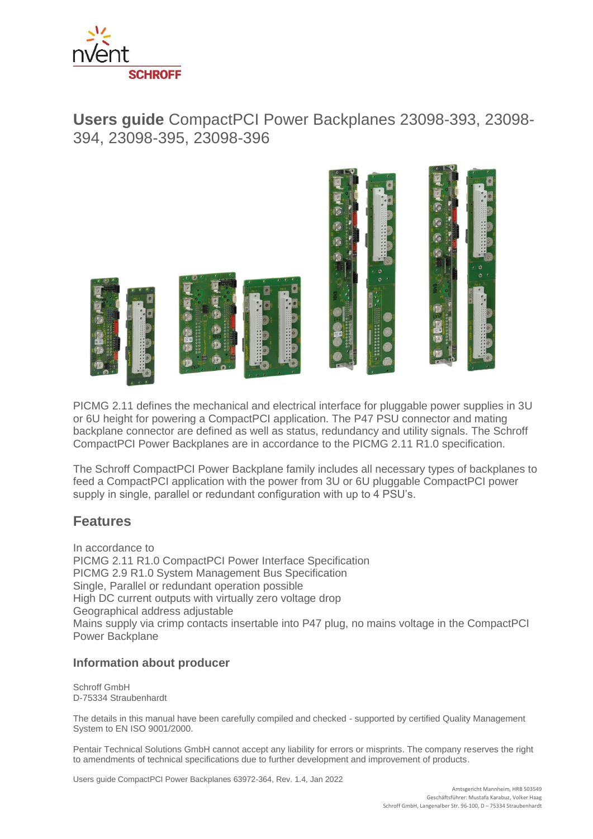

# **Users guide** CompactPCI Power Backplanes 23098-393, 23098- 394, 23098-395, 23098-396



PICMG 2.11 defines the mechanical and electrical interface for pluggable power supplies in 3U or 6U height for powering a CompactPCI application. The P47 PSU connector and mating backplane connector are defined as well as status, redundancy and utility signals. The Schroff CompactPCI Power Backplanes are in accordance to the PICMG 2.11 R1.0 specification.

The Schroff CompactPCI Power Backplane family includes all necessary types of backplanes to feed a CompactPCI application with the power from 3U or 6U pluggable CompactPCI power supply in single, parallel or redundant configuration with up to 4 PSU's.

## **Features**

In accordance to PICMG 2.11 R1.0 CompactPCI Power Interface Specification PICMG 2.9 R1.0 System Management Bus Specification Single, Parallel or redundant operation possible High DC current outputs with virtually zero voltage drop Geographical address adjustable Mains supply via crimp contacts insertable into P47 plug, no mains voltage in the CompactPCI Power Backplane

### **Information about producer**

Schroff GmbH D-75334 Straubenhardt

The details in this manual have been carefully compiled and checked - supported by certified Quality Management System to EN ISO 9001/2000.

Pentair Technical Solutions GmbH cannot accept any liability for errors or misprints. The company reserves the right to amendments of technical specifications due to further development and improvement of products.

Users guide CompactPCI Power Backplanes 63972-364, Rev. 1.4, Jan 2022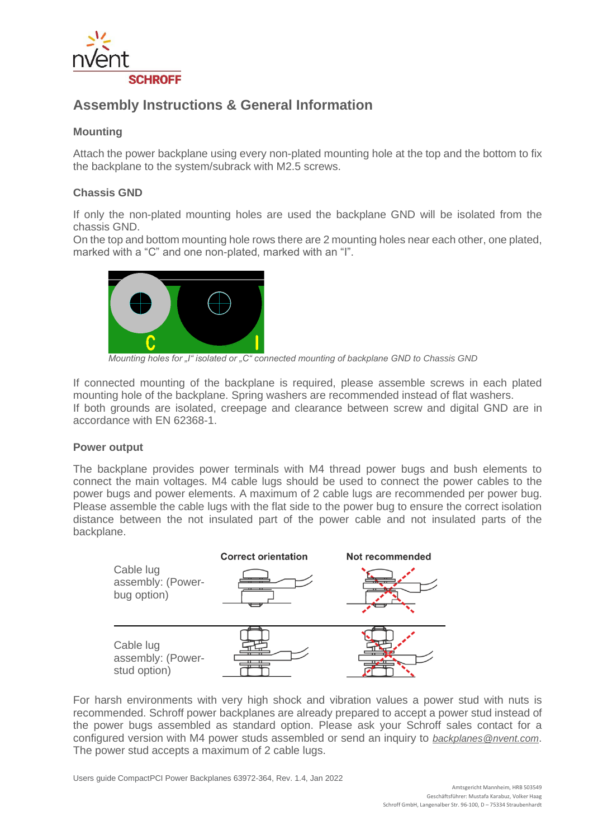

## **Assembly Instructions & General Information**

### **Mounting**

Attach the power backplane using every non-plated mounting hole at the top and the bottom to fix the backplane to the system/subrack with M2.5 screws.

### **Chassis GND**

If only the non-plated mounting holes are used the backplane GND will be isolated from the chassis GND.

On the top and bottom mounting hole rows there are 2 mounting holes near each other, one plated, marked with a "C" and one non-plated, marked with an "I".



*Mounting holes for "I" isolated or "C" connected mounting of backplane GND to Chassis GND*

If connected mounting of the backplane is required, please assemble screws in each plated mounting hole of the backplane. Spring washers are recommended instead of flat washers. If both grounds are isolated, creepage and clearance between screw and digital GND are in accordance with EN 62368-1.

#### **Power output**

The backplane provides power terminals with M4 thread power bugs and bush elements to connect the main voltages. M4 cable lugs should be used to connect the power cables to the power bugs and power elements. A maximum of 2 cable lugs are recommended per power bug. Please assemble the cable lugs with the flat side to the power bug to ensure the correct isolation distance between the not insulated part of the power cable and not insulated parts of the backplane.



For harsh environments with very high shock and vibration values a power stud with nuts is recommended. Schroff power backplanes are already prepared to accept a power stud instead of the power bugs assembled as standard option. Please ask your Schroff sales contact for a configured version with M4 power studs assembled or send an inquiry to *backplanes@nvent.com*. The power stud accepts a maximum of 2 cable lugs.

Users guide CompactPCI Power Backplanes 63972-364, Rev. 1.4, Jan 2022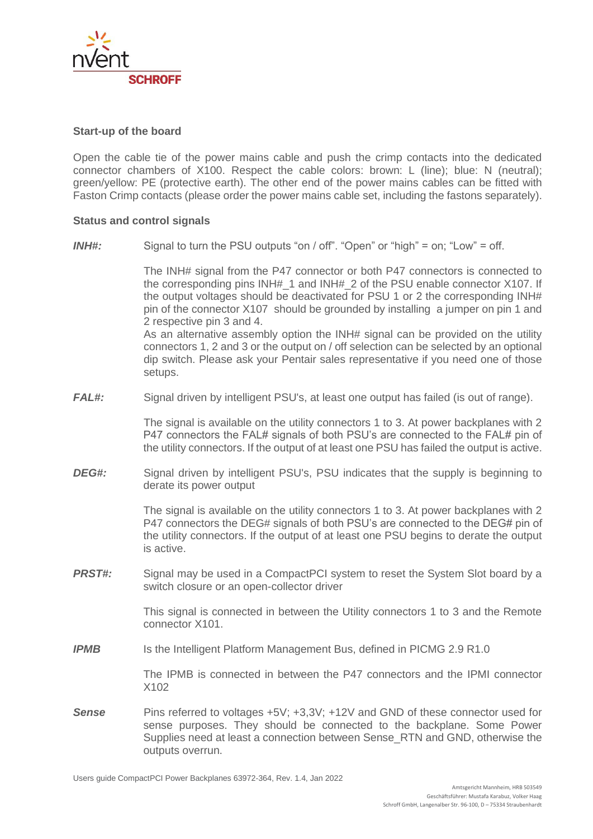

#### **Start-up of the board**

Open the cable tie of the power mains cable and push the crimp contacts into the dedicated connector chambers of X100. Respect the cable colors: brown: L (line); blue: N (neutral); green/yellow: PE (protective earth). The other end of the power mains cables can be fitted with Faston Crimp contacts (please order the power mains cable set, including the fastons separately).

#### **Status and control signals**

*INH#:* Signal to turn the PSU outputs "on / off". "Open" or "high" = on; "Low" = off.

The INH# signal from the P47 connector or both P47 connectors is connected to the corresponding pins INH#\_1 and INH#\_2 of the PSU enable connector X107. If the output voltages should be deactivated for PSU 1 or 2 the corresponding INH# pin of the connector X107 should be grounded by installing a jumper on pin 1 and 2 respective pin 3 and 4.

As an alternative assembly option the INH# signal can be provided on the utility connectors 1, 2 and 3 or the output on / off selection can be selected by an optional dip switch. Please ask your Pentair sales representative if you need one of those setups.

*FAL#:* Signal driven by intelligent PSU's, at least one output has failed (is out of range).

The signal is available on the utility connectors 1 to 3. At power backplanes with 2 P47 connectors the FAL# signals of both PSU's are connected to the FAL# pin of the utility connectors. If the output of at least one PSU has failed the output is active.

*DEG#:* Signal driven by intelligent PSU's, PSU indicates that the supply is beginning to derate its power output

> The signal is available on the utility connectors 1 to 3. At power backplanes with 2 P47 connectors the DEG# signals of both PSU's are connected to the DEG# pin of the utility connectors. If the output of at least one PSU begins to derate the output is active.

**PRST#:** Signal may be used in a CompactPCI system to reset the System Slot board by a switch closure or an open-collector driver

> This signal is connected in between the Utility connectors 1 to 3 and the Remote connector X101.

**IPMB** Is the Intelligent Platform Management Bus, defined in PICMG 2.9 R1.0

The IPMB is connected in between the P47 connectors and the IPMI connector X102

**Sense** Pins referred to voltages +5V; +3,3V; +12V and GND of these connector used for sense purposes. They should be connected to the backplane. Some Power Supplies need at least a connection between Sense\_RTN and GND, otherwise the outputs overrun.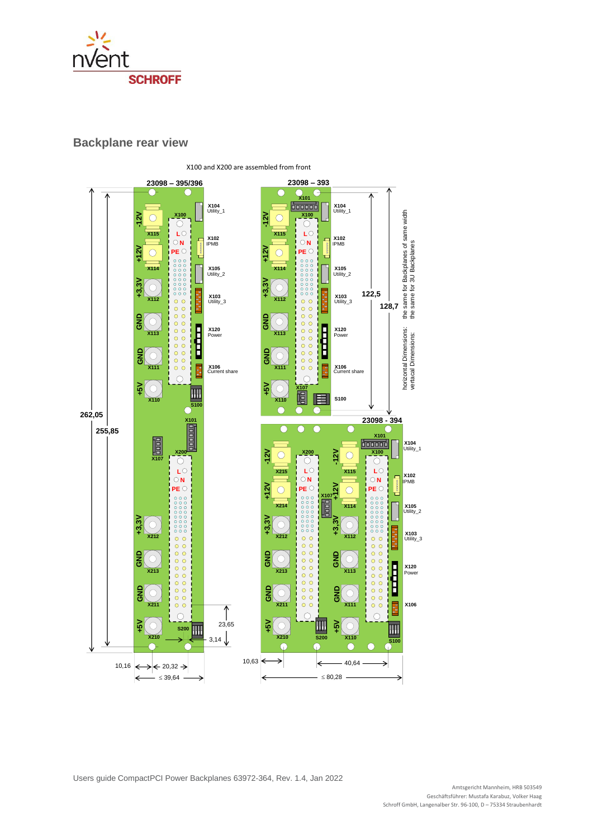

### **Backplane rear view**

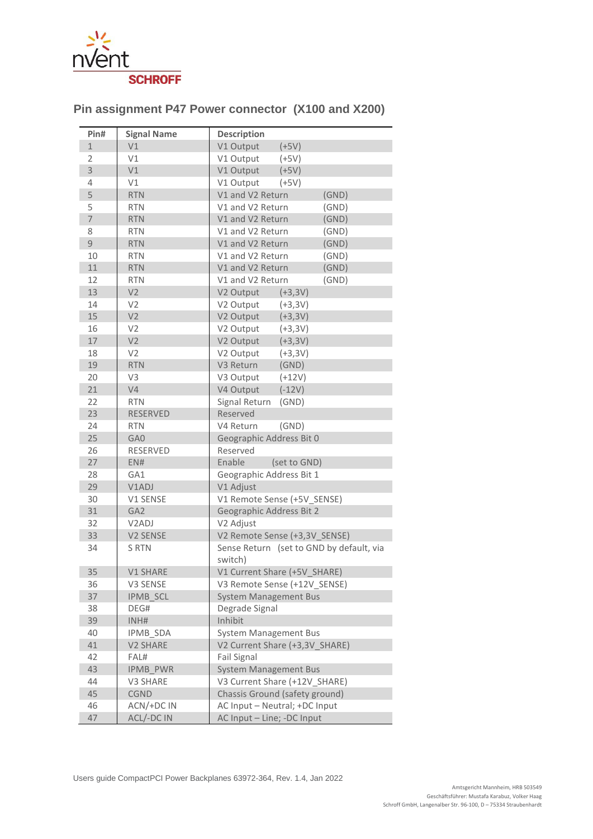

## **Pin assignment P47 Power connector (X100 and X200)**

| Pin#           | <b>Signal Name</b> | <b>Description</b>                       |
|----------------|--------------------|------------------------------------------|
| $\mathbf{1}$   | V1                 | V1 Output<br>$(+5V)$                     |
| $\overline{2}$ | V1                 | V1 Output<br>$(+5V)$                     |
| 3              | V1                 | V1 Output<br>$(+5V)$                     |
| 4              | V1                 | V1 Output<br>$(+5V)$                     |
| 5              | <b>RTN</b>         | V1 and V2 Return<br>(GND)                |
| 5              | <b>RTN</b>         | V1 and V2 Return<br>(GND)                |
| $\overline{7}$ | <b>RTN</b>         | V1 and V2 Return<br>(GND)                |
| 8              | <b>RTN</b>         | V1 and V2 Return<br>(GND)                |
| 9              | <b>RTN</b>         | V1 and V2 Return<br>(GND)                |
| 10             | <b>RTN</b>         | V1 and V2 Return<br>(GND)                |
| 11             | <b>RTN</b>         | (GND)<br>V1 and V2 Return                |
| 12             | <b>RTN</b>         | V1 and V2 Return<br>(GND)                |
| 13             | V <sub>2</sub>     | V2 Output (+3,3V)                        |
| 14             | V <sub>2</sub>     | V2 Output<br>$(+3,3V)$                   |
| 15             | V <sub>2</sub>     | V2 Output (+3,3V)                        |
| 16             | V <sub>2</sub>     | V2 Output<br>$(+3,3V)$                   |
| 17             | V <sub>2</sub>     | V2 Output (+3,3V)                        |
| 18             | V <sub>2</sub>     | V2 Output<br>$(+3,3V)$                   |
| 19             | <b>RTN</b>         | V3 Return<br>(GND)                       |
| 20             | V <sub>3</sub>     | V3 Output<br>$(+12V)$                    |
| 21             | V <sub>4</sub>     | V4 Output<br>$(-12V)$                    |
| 22             | <b>RTN</b>         | Signal Return<br>(GND)                   |
| 23             | <b>RESERVED</b>    | Reserved                                 |
| 24             | <b>RTN</b>         | (GND)<br>V4 Return                       |
| 25             | GA0                | Geographic Address Bit 0                 |
| 26             | <b>RESERVED</b>    | Reserved                                 |
| 27             | ENH                | Enable<br>(set to GND)                   |
| 28             | GA1                | Geographic Address Bit 1                 |
| 29             | V1ADJ              | V1 Adjust                                |
| 30             | V1 SENSE           | V1 Remote Sense (+5V_SENSE)              |
| 31             | GA <sub>2</sub>    | Geographic Address Bit 2                 |
| 32             | V <sub>2</sub> ADJ | V2 Adjust                                |
| 33             | V2 SENSE           | V2 Remote Sense (+3,3V_SENSE)            |
| 34             | S RTN              | Sense Return (set to GND by default, via |
|                |                    | switch)                                  |
| 35             | V1 SHARE           | V1 Current Share (+5V_SHARE)             |
| 36             | V3 SENSE           | V3 Remote Sense (+12V_SENSE)             |
| 37             | IPMB_SCL           | <b>System Management Bus</b>             |
| 38             | DEG#               | Degrade Signal                           |
| 39             | INH#               | Inhibit                                  |
| 40             | <b>IPMB SDA</b>    | <b>System Management Bus</b>             |
| 41             | V2 SHARE           | V2 Current Share (+3,3V SHARE)           |
| 42             | FAL#               | Fail Signal                              |
| 43             | <b>IPMB PWR</b>    | <b>System Management Bus</b>             |
| 44             | V3 SHARE           | V3 Current Share (+12V_SHARE)            |
| 45             | <b>CGND</b>        | Chassis Ground (safety ground)           |
| 46             | ACN/+DC IN         | AC Input - Neutral; +DC Input            |
| 47             | ACL/-DC IN         | AC Input - Line; -DC Input               |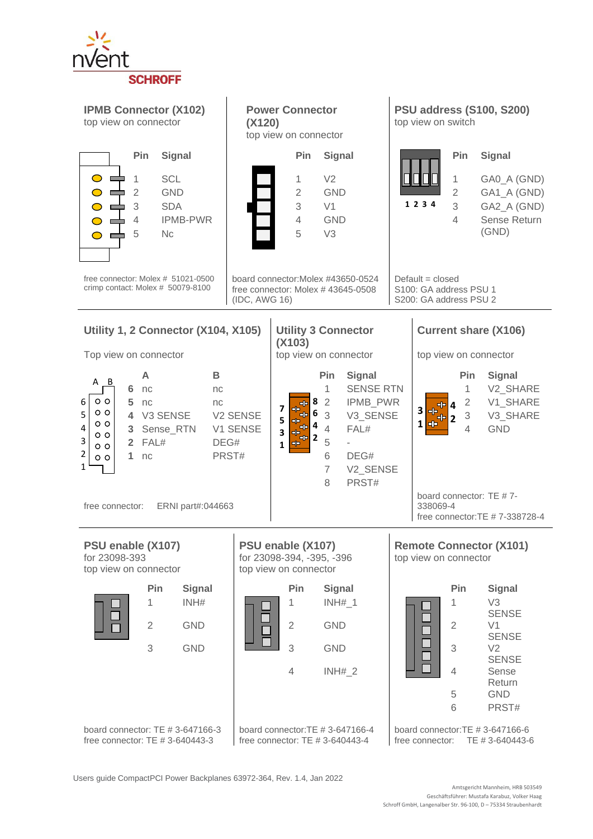

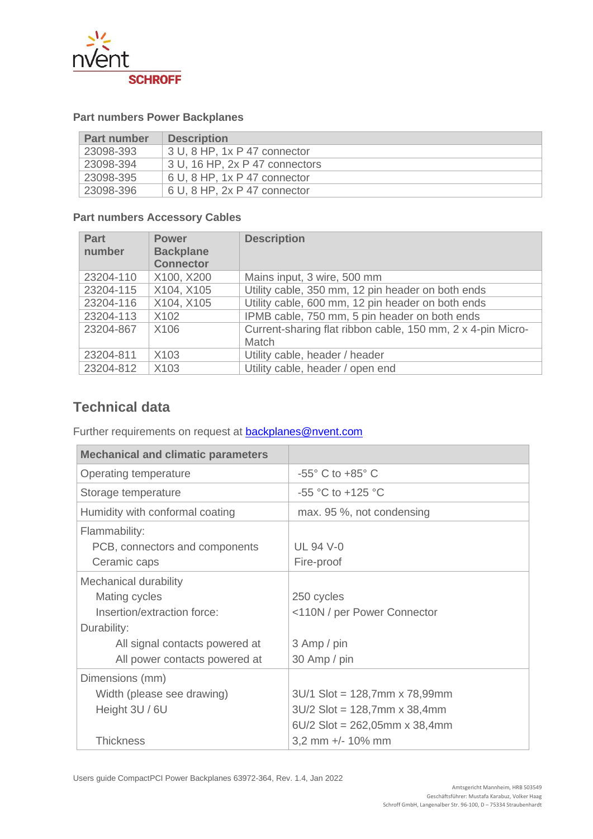

## **Part numbers Power Backplanes**

| <b>Part number</b>      | <b>Description</b>             |
|-------------------------|--------------------------------|
| $\frac{1}{2}$ 23098-393 | 3 U, 8 HP, 1x P 47 connector   |
| 23098-394               | 3 U, 16 HP, 2x P 47 connectors |
| 23098-395               | 6 U, 8 HP, 1x P 47 connector   |
| 23098-396               | 6 U, 8 HP, 2x P 47 connector   |

## **Part numbers Accessory Cables**

| <b>Part</b><br>number | <b>Power</b><br><b>Backplane</b><br><b>Connector</b> | <b>Description</b>                                                          |
|-----------------------|------------------------------------------------------|-----------------------------------------------------------------------------|
| 23204-110             | X100, X200                                           | Mains input, 3 wire, 500 mm                                                 |
| 23204-115             | X104, X105                                           | Utility cable, 350 mm, 12 pin header on both ends                           |
| 23204-116             | X104, X105                                           | Utility cable, 600 mm, 12 pin header on both ends                           |
| 23204-113             | X102                                                 | IPMB cable, 750 mm, 5 pin header on both ends                               |
| 23204-867             | X106                                                 | Current-sharing flat ribbon cable, 150 mm, 2 x 4-pin Micro-<br><b>Match</b> |
| 23204-811             | X <sub>103</sub>                                     | Utility cable, header / header                                              |
| 23204-812             | X103                                                 | Utility cable, header / open end                                            |

## **Technical data**

Further requirements on request at **backplanes@nvent.com** 

| <b>Mechanical and climatic parameters</b>                                            |                                                                                                      |
|--------------------------------------------------------------------------------------|------------------------------------------------------------------------------------------------------|
| Operating temperature                                                                | $-55^{\circ}$ C to $+85^{\circ}$ C                                                                   |
| Storage temperature                                                                  | $-55$ °C to $+125$ °C                                                                                |
| Humidity with conformal coating                                                      | max. 95 %, not condensing                                                                            |
| Flammability:<br>PCB, connectors and components<br>Ceramic caps                      | <b>UL 94 V-0</b><br>Fire-proof                                                                       |
| Mechanical durability<br>Mating cycles<br>Insertion/extraction force:<br>Durability: | 250 cycles<br><110N / per Power Connector                                                            |
| All signal contacts powered at<br>All power contacts powered at                      | 3 Amp / pin<br>30 Amp / pin                                                                          |
| Dimensions (mm)<br>Width (please see drawing)<br>Height 3U / 6U                      | $3U/1$ Slot = 128,7mm x 78,99mm<br>$3U/2$ Slot = 128,7mm x 38,4mm<br>$6U/2$ Slot = 262,05mm x 38,4mm |
| Thickness                                                                            | 3,2 mm +/- 10% mm                                                                                    |